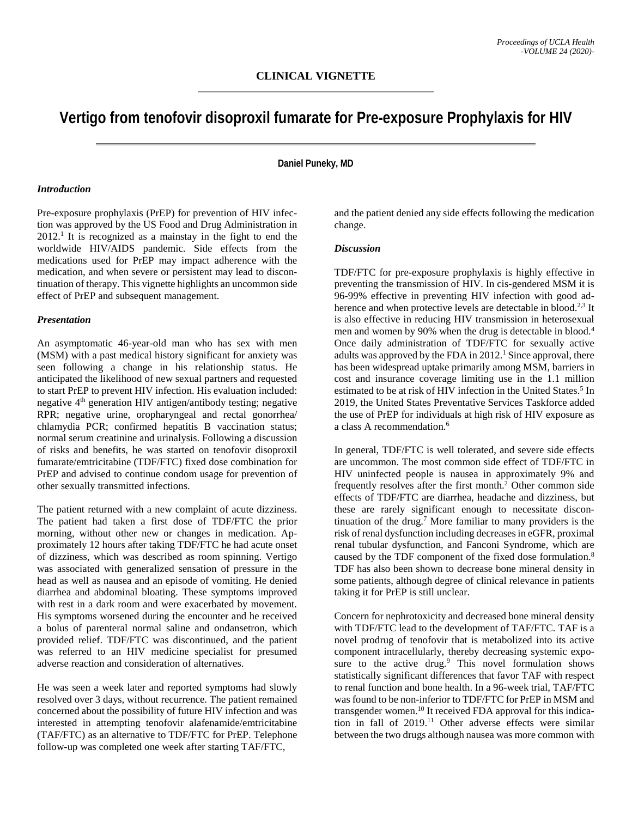# **Vertigo from tenofovir disoproxil fumarate for Pre-exposure Prophylaxis for HIV**

**Daniel Puneky, MD**

#### *Introduction*

Pre-exposure prophylaxis (PrEP) for prevention of HIV infection was approved by the US Food and Drug Administration in 2012. <sup>1</sup> It is recognized as a mainstay in the fight to end the worldwide HIV/AIDS pandemic. Side effects from the medications used for PrEP may impact adherence with the medication, and when severe or persistent may lead to discontinuation of therapy. This vignette highlights an uncommon side effect of PrEP and subsequent management.

#### *Presentation*

An asymptomatic 46-year-old man who has sex with men (MSM) with a past medical history significant for anxiety was seen following a change in his relationship status. He anticipated the likelihood of new sexual partners and requested to start PrEP to prevent HIV infection. His evaluation included: negative 4<sup>th</sup> generation HIV antigen/antibody testing; negative RPR; negative urine, oropharyngeal and rectal gonorrhea/ chlamydia PCR; confirmed hepatitis B vaccination status; normal serum creatinine and urinalysis. Following a discussion of risks and benefits, he was started on tenofovir disoproxil fumarate/emtricitabine (TDF/FTC) fixed dose combination for PrEP and advised to continue condom usage for prevention of other sexually transmitted infections.

The patient returned with a new complaint of acute dizziness. The patient had taken a first dose of TDF/FTC the prior morning, without other new or changes in medication. Approximately 12 hours after taking TDF/FTC he had acute onset of dizziness, which was described as room spinning. Vertigo was associated with generalized sensation of pressure in the head as well as nausea and an episode of vomiting. He denied diarrhea and abdominal bloating. These symptoms improved with rest in a dark room and were exacerbated by movement. His symptoms worsened during the encounter and he received a bolus of parenteral normal saline and ondansetron, which provided relief. TDF/FTC was discontinued, and the patient was referred to an HIV medicine specialist for presumed adverse reaction and consideration of alternatives.

He was seen a week later and reported symptoms had slowly resolved over 3 days, without recurrence. The patient remained concerned about the possibility of future HIV infection and was interested in attempting tenofovir alafenamide/emtricitabine (TAF/FTC) as an alternative to TDF/FTC for PrEP. Telephone follow-up was completed one week after starting TAF/FTC,

and the patient denied any side effects following the medication change.

## *Discussion*

TDF/FTC for pre-exposure prophylaxis is highly effective in preventing the transmission of HIV. In cis-gendered MSM it is 96-99% effective in preventing HIV infection with good adherence and when protective levels are detectable in blood.<sup>2,3</sup> It is also effective in reducing HIV transmission in heterosexual men and women by 90% when the drug is detectable in blood.<sup>4</sup> Once daily administration of TDF/FTC for sexually active adults was approved by the FDA in 2012. <sup>1</sup> Since approval, there has been widespread uptake primarily among MSM, barriers in cost and insurance coverage limiting use in the 1.1 million estimated to be at risk of HIV infection in the United States.<sup>5</sup> In 2019, the United States Preventative Services Taskforce added the use of PrEP for individuals at high risk of HIV exposure as a class A recommendation. 6

In general, TDF/FTC is well tolerated, and severe side effects are uncommon. The most common side effect of TDF/FTC in HIV uninfected people is nausea in approximately 9% and frequently resolves after the first month. <sup>2</sup> Other common side effects of TDF/FTC are diarrhea, headache and dizziness, but these are rarely significant enough to necessitate discontinuation of the drug. <sup>7</sup> More familiar to many providers is the risk of renal dysfunction including decreases in eGFR, proximal renal tubular dysfunction, and Fanconi Syndrome, which are caused by the TDF component of the fixed dose formulation.<sup>8</sup> TDF has also been shown to decrease bone mineral density in some patients, although degree of clinical relevance in patients taking it for PrEP is still unclear.

Concern for nephrotoxicity and decreased bone mineral density with TDF/FTC lead to the development of TAF/FTC. TAF is a novel prodrug of tenofovir that is metabolized into its active component intracellularly, thereby decreasing systemic exposure to the active drug. <sup>9</sup> This novel formulation shows statistically significant differences that favor TAF with respect to renal function and bone health. In a 96-week trial, TAF/FTC was found to be non-inferior to TDF/FTC for PrEP in MSM and transgender women.<sup>10</sup> It received FDA approval for this indication in fall of 2019. <sup>11</sup> Other adverse effects were similar between the two drugs although nausea was more common with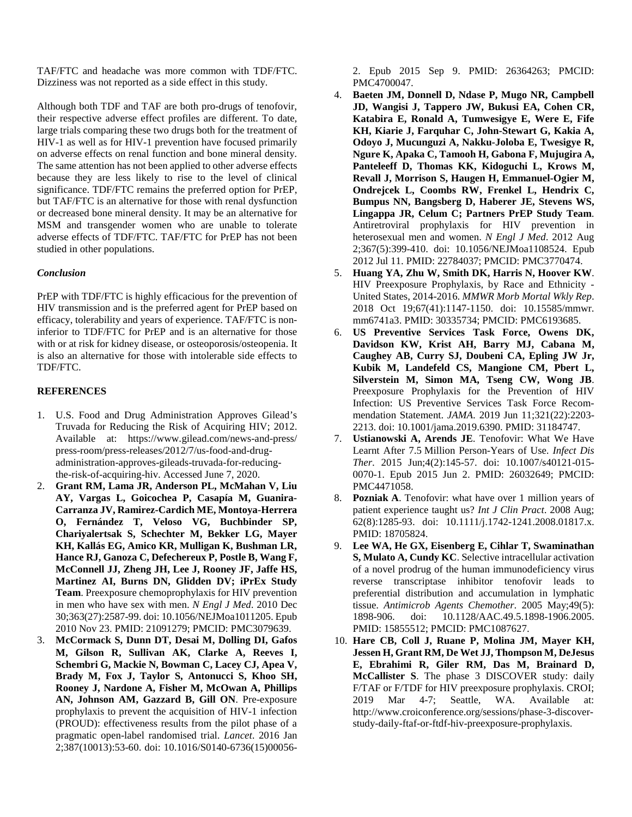TAF/FTC and headache was more common with TDF/FTC. Dizziness was not reported as a side effect in this study.

Although both TDF and TAF are both pro-drugs of tenofovir, their respective adverse effect profiles are different. To date, large trials comparing these two drugs both for the treatment of HIV-1 as well as for HIV-1 prevention have focused primarily on adverse effects on renal function and bone mineral density. The same attention has not been applied to other adverse effects because they are less likely to rise to the level of clinical significance. TDF/FTC remains the preferred option for PrEP, but TAF/FTC is an alternative for those with renal dysfunction or decreased bone mineral density. It may be an alternative for MSM and transgender women who are unable to tolerate adverse effects of TDF/FTC. TAF/FTC for PrEP has not been studied in other populations.

## *Conclusion*

PrEP with TDF/FTC is highly efficacious for the prevention of HIV transmission and is the preferred agent for PrEP based on efficacy, tolerability and years of experience. TAF/FTC is noninferior to TDF/FTC for PrEP and is an alternative for those with or at risk for kidney disease, or osteoporosis/osteopenia. It is also an alternative for those with intolerable side effects to TDF/FTC.

## **REFERENCES**

- 1. U.S. Food and Drug Administration Approves Gilead's Truvada for Reducing the Risk of Acquiring HIV; 2012. Available at: https://www.gilead.com/news-and-press/ press-room/press-releases/2012/7/us-food-and-drugadministration-approves-gileads-truvada-for-reducingthe-risk-of-acquiring-hiv. Accessed June 7, 2020.
- 2. **Grant RM, Lama JR, Anderson PL, McMahan V, Liu AY, Vargas L, Goicochea P, Casapía M, Guanira-Carranza JV, Ramirez-Cardich ME, Montoya-Herrera O, Fernández T, Veloso VG, Buchbinder SP, Chariyalertsak S, Schechter M, Bekker LG, Mayer KH, Kallás EG, Amico KR, Mulligan K, Bushman LR, Hance RJ, Ganoza C, Defechereux P, Postle B, Wang F, McConnell JJ, Zheng JH, Lee J, Rooney JF, Jaffe HS, Martinez AI, Burns DN, Glidden DV; iPrEx Study Team**. Preexposure chemoprophylaxis for HIV prevention in men who have sex with men. *N Engl J Med*. 2010 Dec 30;363(27):2587-99. doi: 10.1056/NEJMoa1011205. Epub 2010 Nov 23. PMID: 21091279; PMCID: PMC3079639.
- 3. **McCormack S, Dunn DT, Desai M, Dolling DI, Gafos M, Gilson R, Sullivan AK, Clarke A, Reeves I, Schembri G, Mackie N, Bowman C, Lacey CJ, Apea V, Brady M, Fox J, Taylor S, Antonucci S, Khoo SH, Rooney J, Nardone A, Fisher M, McOwan A, Phillips AN, Johnson AM, Gazzard B, Gill ON**. Pre-exposure prophylaxis to prevent the acquisition of HIV-1 infection (PROUD): effectiveness results from the pilot phase of a pragmatic open-label randomised trial. *Lancet*. 2016 Jan 2;387(10013):53-60. doi: 10.1016/S0140-6736(15)00056-

2. Epub 2015 Sep 9. PMID: 26364263; PMCID: PMC4700047.

- 4. **Baeten JM, Donnell D, Ndase P, Mugo NR, Campbell JD, Wangisi J, Tappero JW, Bukusi EA, Cohen CR, Katabira E, Ronald A, Tumwesigye E, Were E, Fife KH, Kiarie J, Farquhar C, John-Stewart G, Kakia A, Odoyo J, Mucunguzi A, Nakku-Joloba E, Twesigye R, Ngure K, Apaka C, Tamooh H, Gabona F, Mujugira A, Panteleeff D, Thomas KK, Kidoguchi L, Krows M, Revall J, Morrison S, Haugen H, Emmanuel-Ogier M, Ondrejcek L, Coombs RW, Frenkel L, Hendrix C, Bumpus NN, Bangsberg D, Haberer JE, Stevens WS, Lingappa JR, Celum C; Partners PrEP Study Team**. Antiretroviral prophylaxis for HIV prevention in heterosexual men and women. *N Engl J Med*. 2012 Aug 2;367(5):399-410. doi: 10.1056/NEJMoa1108524. Epub 2012 Jul 11. PMID: 22784037; PMCID: PMC3770474.
- 5. **Huang YA, Zhu W, Smith DK, Harris N, Hoover KW**. HIV Preexposure Prophylaxis, by Race and Ethnicity - United States, 2014-2016. *MMWR Morb Mortal Wkly Rep*. 2018 Oct 19;67(41):1147-1150. doi: 10.15585/mmwr. mm6741a3. PMID: 30335734; PMCID: PMC6193685.
- 6. **US Preventive Services Task Force, Owens DK, Davidson KW, Krist AH, Barry MJ, Cabana M, Caughey AB, Curry SJ, Doubeni CA, Epling JW Jr, Kubik M, Landefeld CS, Mangione CM, Pbert L, Silverstein M, Simon MA, Tseng CW, Wong JB**. Preexposure Prophylaxis for the Prevention of HIV Infection: US Preventive Services Task Force Recommendation Statement. *JAMA*. 2019 Jun 11;321(22):2203- 2213. doi: 10.1001/jama.2019.6390. PMID: 31184747.
- 7. **Ustianowski A, Arends JE**. Tenofovir: What We Have Learnt After 7.5 Million Person-Years of Use. *Infect Dis Ther*. 2015 Jun;4(2):145-57. doi: 10.1007/s40121-015- 0070-1. Epub 2015 Jun 2. PMID: 26032649; PMCID: PMC4471058.
- 8. **Pozniak A**. Tenofovir: what have over 1 million years of patient experience taught us? *Int J Clin Pract*. 2008 Aug; 62(8):1285-93. doi: 10.1111/j.1742-1241.2008.01817.x. PMID: 18705824.
- 9. **Lee WA, He GX, Eisenberg E, Cihlar T, Swaminathan S, Mulato A, Cundy KC**. Selective intracellular activation of a novel prodrug of the human immunodeficiency virus reverse transcriptase inhibitor tenofovir leads to preferential distribution and accumulation in lymphatic tissue. *Antimicrob Agents Chemother*. 2005 May;49(5): 1898-906. doi: 10.1128/AAC.49.5.1898-1906.2005. PMID: 15855512; PMCID: PMC1087627.
- 10. **Hare CB, Coll J, Ruane P, Molina JM, Mayer KH, Jessen H, Grant RM, De Wet JJ, Thompson M, DeJesus E, Ebrahimi R, Giler RM, Das M, Brainard D, McCallister S**. The phase 3 DISCOVER study: daily F/TAF or F/TDF for HIV preexposure prophylaxis. CROI; 2019 Mar 4-7; Seattle, WA. Available at: http://www.croiconference.org/sessions/phase-3-discoverstudy-daily-ftaf-or-ftdf-hiv-preexposure-prophylaxis.